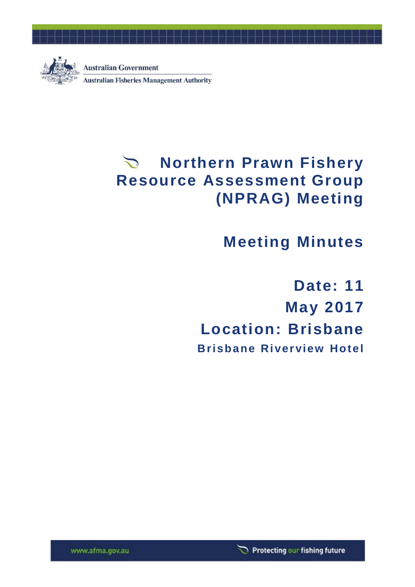

# **Northern Prawn Fishery Resource Assessment Group (NPRAG) Meeting**

# **Meeting Minutes**

**Date: 11 May 2017 Location: Brisbane Brisbane Riverview Hotel**



www.afma.gov.au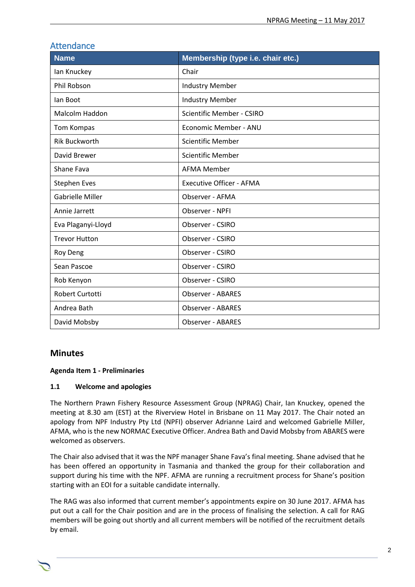| <b>Attendance</b>       |                                   |  |
|-------------------------|-----------------------------------|--|
| <b>Name</b>             | Membership (type i.e. chair etc.) |  |
| lan Knuckey             | Chair                             |  |
| Phil Robson             | <b>Industry Member</b>            |  |
| lan Boot                | <b>Industry Member</b>            |  |
| Malcolm Haddon          | Scientific Member - CSIRO         |  |
| Tom Kompas              | Economic Member - ANU             |  |
| <b>Rik Buckworth</b>    | <b>Scientific Member</b>          |  |
| David Brewer            | <b>Scientific Member</b>          |  |
| Shane Fava              | <b>AFMA Member</b>                |  |
| <b>Stephen Eves</b>     | <b>Executive Officer - AFMA</b>   |  |
| <b>Gabrielle Miller</b> | Observer - AFMA                   |  |
| Annie Jarrett           | Observer - NPFI                   |  |
| Eva Plaganyi-Lloyd      | Observer - CSIRO                  |  |
| <b>Trevor Hutton</b>    | Observer - CSIRO                  |  |
| <b>Roy Deng</b>         | Observer - CSIRO                  |  |
| Sean Pascoe             | Observer - CSIRO                  |  |
| Rob Kenyon              | Observer - CSIRO                  |  |
| <b>Robert Curtotti</b>  | <b>Observer - ABARES</b>          |  |
| Andrea Bath             | <b>Observer - ABARES</b>          |  |
| David Mobsby            | <b>Observer - ABARES</b>          |  |

# **Minutes**

#### **Agenda Item 1 - Preliminaries**

#### **1.1 Welcome and apologies**

The Northern Prawn Fishery Resource Assessment Group (NPRAG) Chair, Ian Knuckey, opened the meeting at 8.30 am (EST) at the Riverview Hotel in Brisbane on 11 May 2017. The Chair noted an apology from NPF Industry Pty Ltd (NPFI) observer Adrianne Laird and welcomed Gabrielle Miller, AFMA, who is the new NORMAC Executive Officer. Andrea Bath and David Mobsby from ABARES were welcomed as observers.

The Chair also advised that it was the NPF manager Shane Fava's final meeting. Shane advised that he has been offered an opportunity in Tasmania and thanked the group for their collaboration and support during his time with the NPF. AFMA are running a recruitment process for Shane's position starting with an EOI for a suitable candidate internally.

The RAG was also informed that current member's appointments expire on 30 June 2017. AFMA has put out a call for the Chair position and are in the process of finalising the selection. A call for RAG members will be going out shortly and all current members will be notified of the recruitment details by email.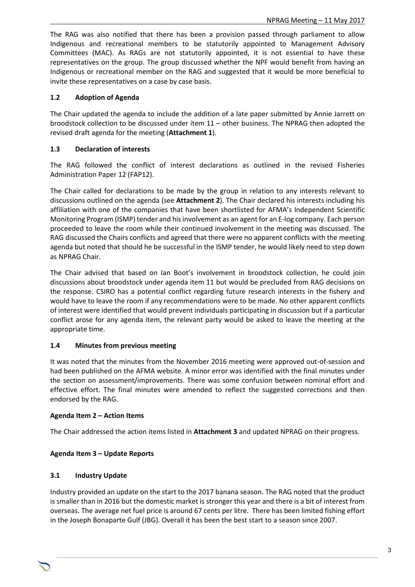The RAG was also notified that there has been a provision passed through parliament to allow Indigenous and recreational members to be statutorily appointed to Management Advisory Committees (MAC). As RAGs are not statutorily appointed, it is not essential to have these representatives on the group. The group discussed whether the NPF would benefit from having an Indigenous or recreational member on the RAG and suggested that it would be more beneficial to invite these representatives on a case by case basis.

#### **1.2 Adoption of Agenda**

The Chair updated the agenda to include the addition of a late paper submitted by Annie Jarrett on broodstock collection to be discussed under item 11 – other business. The NPRAG then adopted the revised draft agenda for the meeting (**Attachment 1**).

#### **1.3 Declaration of interests**

The RAG followed the conflict of interest declarations as outlined in the revised Fisheries Administration Paper 12 (FAP12).

The Chair called for declarations to be made by the group in relation to any interests relevant to discussions outlined on the agenda (see **Attachment 2**). The Chair declared his interests including his affiliation with one of the companies that have been shortlisted for AFMA's Independent Scientific Monitoring Program (ISMP) tender and his involvement as an agent for an E-log company. Each person proceeded to leave the room while their continued involvement in the meeting was discussed. The RAG discussed the Chairs conflicts and agreed that there were no apparent conflicts with the meeting agenda but noted that should he be successful in the ISMP tender, he would likely need to step down as NPRAG Chair.

The Chair advised that based on Ian Boot's involvement in broodstock collection, he could join discussions about broodstock under agenda item 11 but would be precluded from RAG decisions on the response. CSIRO has a potential conflict regarding future research interests in the fishery and would have to leave the room if any recommendations were to be made. No other apparent conflicts of interest were identified that would prevent individuals participating in discussion but if a particular conflict arose for any agenda item, the relevant party would be asked to leave the meeting at the appropriate time.

#### **1.4 Minutes from previous meeting**

It was noted that the minutes from the November 2016 meeting were approved out-of-session and had been published on the AFMA website. A minor error was identified with the final minutes under the section on assessment/improvements. There was some confusion between nominal effort and effective effort. The final minutes were amended to reflect the suggested corrections and then endorsed by the RAG.

#### **Agenda Item 2 – Action Items**

The Chair addressed the action items listed in **Attachment 3** and updated NPRAG on their progress.

## **Agenda Item 3 – Update Reports**

#### **3.1 Industry Update**

Industry provided an update on the start to the 2017 banana season. The RAG noted that the product is smaller than in 2016 but the domestic market is stronger this year and there is a bit of interest from overseas. The average net fuel price is around 67 cents per litre. There has been limited fishing effort in the Joseph Bonaparte Gulf (JBG). Overall it has been the best start to a season since 2007.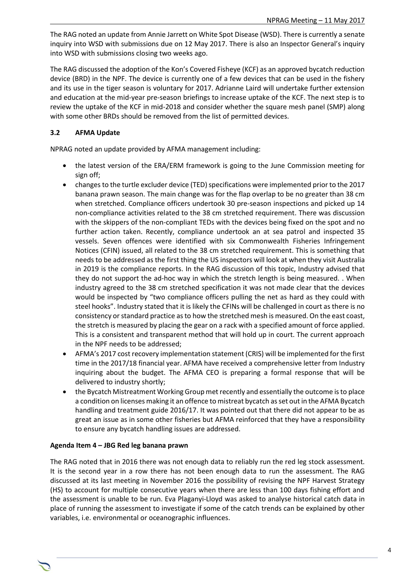The RAG noted an update from Annie Jarrett on White Spot Disease (WSD). There is currently a senate inquiry into WSD with submissions due on 12 May 2017. There is also an Inspector General's inquiry into WSD with submissions closing two weeks ago.

The RAG discussed the adoption of the Kon's Covered Fisheye (KCF) as an approved bycatch reduction device (BRD) in the NPF. The device is currently one of a few devices that can be used in the fishery and its use in the tiger season is voluntary for 2017. Adrianne Laird will undertake further extension and education at the mid-year pre-season briefings to increase uptake of the KCF. The next step is to review the uptake of the KCF in mid-2018 and consider whether the square mesh panel (SMP) along with some other BRDs should be removed from the list of permitted devices.

#### **3.2 AFMA Update**

NPRAG noted an update provided by AFMA management including:

- the latest version of the ERA/ERM framework is going to the June Commission meeting for sign off;
- changes to the turtle excluder device (TED) specifications were implemented prior to the 2017 banana prawn season. The main change was for the flap overlap to be no greater than 38 cm when stretched. Compliance officers undertook 30 pre-season inspections and picked up 14 non-compliance activities related to the 38 cm stretched requirement. There was discussion with the skippers of the non-compliant TEDs with the devices being fixed on the spot and no further action taken. Recently, compliance undertook an at sea patrol and inspected 35 vessels. Seven offences were identified with six Commonwealth Fisheries Infringement Notices (CFIN) issued, all related to the 38 cm stretched requirement. This is something that needs to be addressed as the first thing the US inspectors will look at when they visit Australia in 2019 is the compliance reports. In the RAG discussion of this topic, Industry advised that they do not support the ad-hoc way in which the stretch length is being measured. . When industry agreed to the 38 cm stretched specification it was not made clear that the devices would be inspected by "two compliance officers pulling the net as hard as they could with steel hooks". Industry stated that it is likely the CFINs will be challenged in court as there is no consistency or standard practice as to how the stretched mesh is measured. On the east coast, the stretch is measured by placing the gear on a rack with a specified amount of force applied. This is a consistent and transparent method that will hold up in court. The current approach in the NPF needs to be addressed;
- AFMA's 2017 cost recovery implementation statement (CRIS) will be implemented for the first time in the 2017/18 financial year. AFMA have received a comprehensive letter from Industry inquiring about the budget. The AFMA CEO is preparing a formal response that will be delivered to industry shortly;
- the Bycatch Mistreatment Working Group met recently and essentially the outcome is to place a condition on licenses making it an offence to mistreat bycatch as set out in the AFMA Bycatch handling and treatment guide 2016/17. It was pointed out that there did not appear to be as great an issue as in some other fisheries but AFMA reinforced that they have a responsibility to ensure any bycatch handling issues are addressed.

#### **Agenda Item 4 – JBG Red leg banana prawn**

The RAG noted that in 2016 there was not enough data to reliably run the red leg stock assessment. It is the second year in a row there has not been enough data to run the assessment. The RAG discussed at its last meeting in November 2016 the possibility of revising the NPF Harvest Strategy (HS) to account for multiple consecutive years when there are less than 100 days fishing effort and the assessment is unable to be run. Eva Plaganyi-Lloyd was asked to analyse historical catch data in place of running the assessment to investigate if some of the catch trends can be explained by other variables, i.e. environmental or oceanographic influences.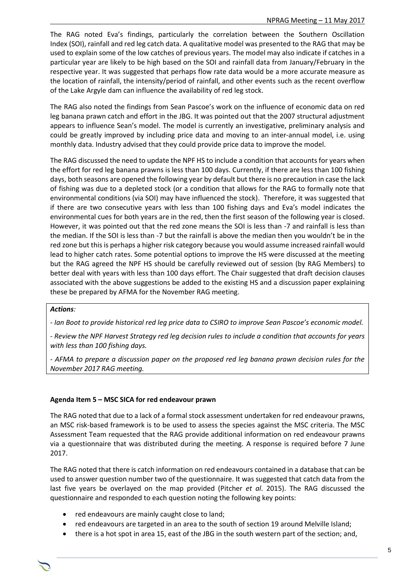The RAG noted Eva's findings, particularly the correlation between the Southern Oscillation Index (SOI), rainfall and red leg catch data. A qualitative model was presented to the RAG that may be used to explain some of the low catches of previous years. The model may also indicate if catches in a particular year are likely to be high based on the SOI and rainfall data from January/February in the respective year. It was suggested that perhaps flow rate data would be a more accurate measure as the location of rainfall, the intensity/period of rainfall, and other events such as the recent overflow of the Lake Argyle dam can influence the availability of red leg stock.

The RAG also noted the findings from Sean Pascoe's work on the influence of economic data on red leg banana prawn catch and effort in the JBG. It was pointed out that the 2007 structural adjustment appears to influence Sean's model. The model is currently an investigative, preliminary analysis and could be greatly improved by including price data and moving to an inter-annual model, i.e. using monthly data. Industry advised that they could provide price data to improve the model.

The RAG discussed the need to update the NPF HS to include a condition that accounts for years when the effort for red leg banana prawns is less than 100 days. Currently, if there are less than 100 fishing days, both seasons are opened the following year by default but there is no precaution in case the lack of fishing was due to a depleted stock (or a condition that allows for the RAG to formally note that environmental conditions (via SOI) may have influenced the stock). Therefore, it was suggested that if there are two consecutive years with less than 100 fishing days and Eva's model indicates the environmental cues for both years are in the red, then the first season of the following year is closed. However, it was pointed out that the red zone means the SOI is less than -7 and rainfall is less than the median. If the SOI is less than -7 but the rainfall is above the median then you wouldn't be in the red zone but this is perhaps a higher risk category because you would assume increased rainfall would lead to higher catch rates. Some potential options to improve the HS were discussed at the meeting but the RAG agreed the NPF HS should be carefully reviewed out of session (by RAG Members) to better deal with years with less than 100 days effort. The Chair suggested that draft decision clauses associated with the above suggestions be added to the existing HS and a discussion paper explaining these be prepared by AFMA for the November RAG meeting.

#### *Actions:*

*- Ian Boot to provide historical red leg price data to CSIRO to improve Sean Pascoe's economic model.*

*- Review the NPF Harvest Strategy red leg decision rules to include a condition that accounts for years with less than 100 fishing days.*

*- AFMA to prepare a discussion paper on the proposed red leg banana prawn decision rules for the November 2017 RAG meeting.*

#### **Agenda Item 5 – MSC SICA for red endeavour prawn**

The RAG noted that due to a lack of a formal stock assessment undertaken for red endeavour prawns, an MSC risk-based framework is to be used to assess the species against the MSC criteria. The MSC Assessment Team requested that the RAG provide additional information on red endeavour prawns via a questionnaire that was distributed during the meeting. A response is required before 7 June 2017.

The RAG noted that there is catch information on red endeavours contained in a database that can be used to answer question number two of the questionnaire. It was suggested that catch data from the last five years be overlayed on the map provided (Pitcher *et al*. 2015). The RAG discussed the questionnaire and responded to each question noting the following key points:

- red endeavours are mainly caught close to land;
- red endeavours are targeted in an area to the south of section 19 around Melville Island;
- there is a hot spot in area 15, east of the JBG in the south western part of the section; and,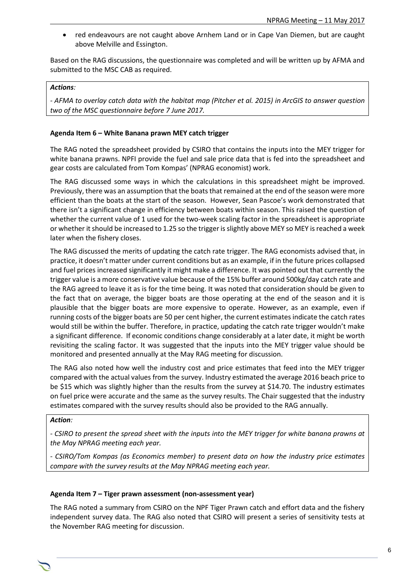• red endeavours are not caught above Arnhem Land or in Cape Van Diemen, but are caught above Melville and Essington.

Based on the RAG discussions, the questionnaire was completed and will be written up by AFMA and submitted to the MSC CAB as required.

#### *Actions:*

*- AFMA to overlay catch data with the habitat map (Pitcher et al. 2015) in ArcGIS to answer question two of the MSC questionnaire before 7 June 2017.*

#### **Agenda Item 6 – White Banana prawn MEY catch trigger**

The RAG noted the spreadsheet provided by CSIRO that contains the inputs into the MEY trigger for white banana prawns. NPFI provide the fuel and sale price data that is fed into the spreadsheet and gear costs are calculated from Tom Kompas' (NPRAG economist) work.

The RAG discussed some ways in which the calculations in this spreadsheet might be improved. Previously, there was an assumption that the boats that remained at the end of the season were more efficient than the boats at the start of the season. However, Sean Pascoe's work demonstrated that there isn't a significant change in efficiency between boats within season. This raised the question of whether the current value of 1 used for the two-week scaling factor in the spreadsheet is appropriate or whether it should be increased to 1.25 so the trigger is slightly above MEY so MEY is reached a week later when the fishery closes.

The RAG discussed the merits of updating the catch rate trigger. The RAG economists advised that, in practice, it doesn't matter under current conditions but as an example, if in the future prices collapsed and fuel prices increased significantly it might make a difference. It was pointed out that currently the trigger value is a more conservative value because of the 15% buffer around 500kg/day catch rate and the RAG agreed to leave it as is for the time being. It was noted that consideration should be given to the fact that on average, the bigger boats are those operating at the end of the season and it is plausible that the bigger boats are more expensive to operate. However, as an example, even if running costs of the bigger boats are 50 per cent higher, the current estimates indicate the catch rates would still be within the buffer. Therefore, in practice, updating the catch rate trigger wouldn't make a significant difference. If economic conditions change considerably at a later date, it might be worth revisiting the scaling factor. It was suggested that the inputs into the MEY trigger value should be monitored and presented annually at the May RAG meeting for discussion.

The RAG also noted how well the industry cost and price estimates that feed into the MEY trigger compared with the actual values from the survey. Industry estimated the average 2016 beach price to be \$15 which was slightly higher than the results from the survey at \$14.70. The industry estimates on fuel price were accurate and the same as the survey results. The Chair suggested that the industry estimates compared with the survey results should also be provided to the RAG annually.

#### *Action:*

*- CSIRO to present the spread sheet with the inputs into the MEY trigger for white banana prawns at the May NPRAG meeting each year.*

*- CSIRO/Tom Kompas (as Economics member) to present data on how the industry price estimates compare with the survey results at the May NPRAG meeting each year.* 

#### **Agenda Item 7 – Tiger prawn assessment (non-assessment year)**

The RAG noted a summary from CSIRO on the NPF Tiger Prawn catch and effort data and the fishery independent survey data. The RAG also noted that CSIRO will present a series of sensitivity tests at the November RAG meeting for discussion.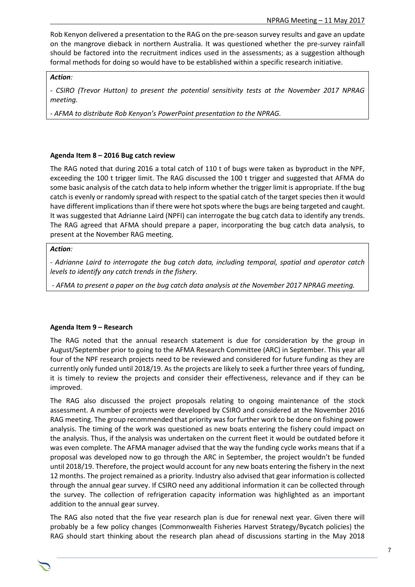Rob Kenyon delivered a presentation to the RAG on the pre-season survey results and gave an update on the mangrove dieback in northern Australia. It was questioned whether the pre-survey rainfall should be factored into the recruitment indices used in the assessments; as a suggestion although formal methods for doing so would have to be established within a specific research initiative.

#### *Action:*

*- CSIRO (Trevor Hutton) to present the potential sensitivity tests at the November 2017 NPRAG meeting.* 

*- AFMA to distribute Rob Kenyon's PowerPoint presentation to the NPRAG.*

#### **Agenda Item 8 – 2016 Bug catch review**

The RAG noted that during 2016 a total catch of 110 t of bugs were taken as byproduct in the NPF, exceeding the 100 t trigger limit. The RAG discussed the 100 t trigger and suggested that AFMA do some basic analysis of the catch data to help inform whether the trigger limit is appropriate. If the bug catch is evenly or randomly spread with respect to the spatial catch of the target species then it would have different implications than if there were hot spots where the bugs are being targeted and caught. It was suggested that Adrianne Laird (NPFI) can interrogate the bug catch data to identify any trends. The RAG agreed that AFMA should prepare a paper, incorporating the bug catch data analysis, to present at the November RAG meeting.

#### *Action:*

*- Adrianne Laird to interrogate the bug catch data, including temporal, spatial and operator catch levels to identify any catch trends in the fishery.*

*- AFMA to present a paper on the bug catch data analysis at the November 2017 NPRAG meeting.* 

#### **Agenda Item 9 – Research**

The RAG noted that the annual research statement is due for consideration by the group in August/September prior to going to the AFMA Research Committee (ARC) in September. This year all four of the NPF research projects need to be reviewed and considered for future funding as they are currently only funded until 2018/19. As the projects are likely to seek a further three years of funding, it is timely to review the projects and consider their effectiveness, relevance and if they can be improved.

The RAG also discussed the project proposals relating to ongoing maintenance of the stock assessment. A number of projects were developed by CSIRO and considered at the November 2016 RAG meeting. The group recommended that priority was for further work to be done on fishing power analysis. The timing of the work was questioned as new boats entering the fishery could impact on the analysis. Thus, if the analysis was undertaken on the current fleet it would be outdated before it was even complete. The AFMA manager advised that the way the funding cycle works means that if a proposal was developed now to go through the ARC in September, the project wouldn't be funded until 2018/19. Therefore, the project would account for any new boats entering the fishery in the next 12 months. The project remained as a priority. Industry also advised that gear information is collected through the annual gear survey. If CSIRO need any additional information it can be collected through the survey. The collection of refrigeration capacity information was highlighted as an important addition to the annual gear survey.

The RAG also noted that the five year research plan is due for renewal next year. Given there will probably be a few policy changes (Commonwealth Fisheries Harvest Strategy/Bycatch policies) the RAG should start thinking about the research plan ahead of discussions starting in the May 2018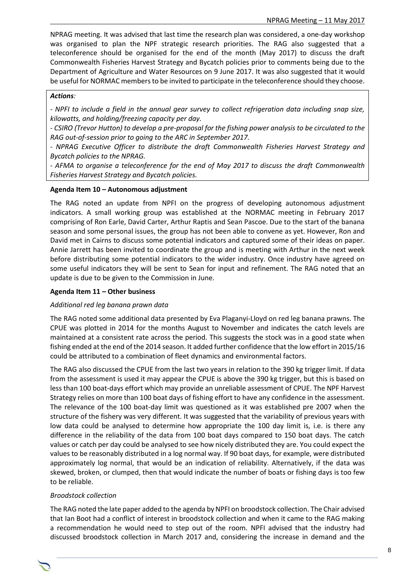NPRAG meeting. It was advised that last time the research plan was considered, a one-day workshop was organised to plan the NPF strategic research priorities. The RAG also suggested that a teleconference should be organised for the end of the month (May 2017) to discuss the draft Commonwealth Fisheries Harvest Strategy and Bycatch policies prior to comments being due to the Department of Agriculture and Water Resources on 9 June 2017. It was also suggested that it would be useful for NORMAC members to be invited to participate in the teleconference should they choose.

#### *Actions:*

*- NPFI to include a field in the annual gear survey to collect refrigeration data including snap size, kilowatts, and holding/freezing capacity per day.* 

*- CSIRO (Trevor Hutton) to develop a pre-proposal for the fishing power analysis to be circulated to the RAG out-of-session prior to going to the ARC in September 2017.* 

*- NPRAG Executive Officer to distribute the draft Commonwealth Fisheries Harvest Strategy and Bycatch policies to the NPRAG.*

*- AFMA to organise a teleconference for the end of May 2017 to discuss the draft Commonwealth Fisheries Harvest Strategy and Bycatch policies.*

#### **Agenda Item 10 – Autonomous adjustment**

The RAG noted an update from NPFI on the progress of developing autonomous adjustment indicators. A small working group was established at the NORMAC meeting in February 2017 comprising of Ron Earle, David Carter, Arthur Raptis and Sean Pascoe. Due to the start of the banana season and some personal issues, the group has not been able to convene as yet. However, Ron and David met in Cairns to discuss some potential indicators and captured some of their ideas on paper. Annie Jarrett has been invited to coordinate the group and is meeting with Arthur in the next week before distributing some potential indicators to the wider industry. Once industry have agreed on some useful indicators they will be sent to Sean for input and refinement. The RAG noted that an update is due to be given to the Commission in June.

#### **Agenda Item 11 – Other business**

#### *Additional red leg banana prawn data*

The RAG noted some additional data presented by Eva Plaganyi-Lloyd on red leg banana prawns. The CPUE was plotted in 2014 for the months August to November and indicates the catch levels are maintained at a consistent rate across the period. This suggests the stock was in a good state when fishing ended at the end of the 2014 season. It added further confidence that the low effort in 2015/16 could be attributed to a combination of fleet dynamics and environmental factors.

The RAG also discussed the CPUE from the last two years in relation to the 390 kg trigger limit. If data from the assessment is used it may appear the CPUE is above the 390 kg trigger, but this is based on less than 100 boat-days effort which may provide an unreliable assessment of CPUE. The NPF Harvest Strategy relies on more than 100 boat days of fishing effort to have any confidence in the assessment. The relevance of the 100 boat-day limit was questioned as it was established pre 2007 when the structure of the fishery was very different. It was suggested that the variability of previous years with low data could be analysed to determine how appropriate the 100 day limit is, i.e. is there any difference in the reliability of the data from 100 boat days compared to 150 boat days. The catch values or catch per day could be analysed to see how nicely distributed they are. You could expect the values to be reasonably distributed in a log normal way. If 90 boat days, for example, were distributed approximately log normal, that would be an indication of reliability. Alternatively, if the data was skewed, broken, or clumped, then that would indicate the number of boats or fishing days is too few to be reliable.

#### *Broodstock collection*

The RAG noted the late paper added to the agenda by NPFI on broodstock collection. The Chair advised that Ian Boot had a conflict of interest in broodstock collection and when it came to the RAG making a recommendation he would need to step out of the room. NPFI advised that the industry had discussed broodstock collection in March 2017 and, considering the increase in demand and the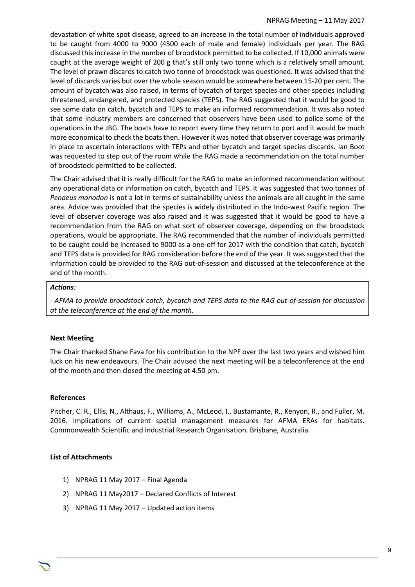devastation of white spot disease, agreed to an increase in the total number of individuals approved to be caught from 4000 to 9000 (4500 each of male and female) individuals per year. The RAG discussed this increase in the number of broodstock permitted to be collected. If 10,000 animals were caught at the average weight of 200 g that's still only two tonne which is a relatively small amount. The level of prawn discards to catch two tonne of broodstock was questioned. It was advised that the level of discards varies but over the whole season would be somewhere between 15-20 per cent. The amount of bycatch was also raised, in terms of bycatch of target species and other species including threatened, endangered, and protected species (TEPS). The RAG suggested that it would be good to see some data on catch, bycatch and TEPS to make an informed recommendation. It was also noted that some industry members are concerned that observers have been used to police some of the operations in the JBG. The boats have to report every time they return to port and it would be much more economical to check the boats then. However it was noted that observer coverage was primarily in place to ascertain interactions with TEPs and other bycatch and target species discards. Ian Boot was requested to step out of the room while the RAG made a recommendation on the total number of broodstock permitted to be collected.

The Chair advised that it is really difficult for the RAG to make an informed recommendation without any operational data or information on catch, bycatch and TEPS. It was suggested that two tonnes of *Penaeus monodon* is not a lot in terms of sustainability unless the animals are all caught in the same area. Advice was provided that the species is widely distributed in the Indo-west Pacific region. The level of observer coverage was also raised and it was suggested that it would be good to have a recommendation from the RAG on what sort of observer coverage, depending on the broodstock operations, would be appropriate. The RAG recommended that the number of individuals permitted to be caught could be increased to 9000 as a one-off for 2017 with the condition that catch, bycatch and TEPS data is provided for RAG consideration before the end of the year. It was suggested that the information could be provided to the RAG out-of-session and discussed at the teleconference at the end of the month.

#### *Actions:*

*- AFMA to provide broodstock catch, bycatch and TEPS data to the RAG out-of-session for discussion at the teleconference at the end of the month.* 

#### **Next Meeting**

The Chair thanked Shane Fava for his contribution to the NPF over the last two years and wished him luck on his new endeavours. The Chair advised the next meeting will be a teleconference at the end of the month and then closed the meeting at 4.50 pm.

#### **References**

Pitcher, C. R., Ellis, N., Althaus, F., Williams, A., McLeod, I., Bustamante, R., Kenyon, R., and Fuller, M. 2016. Implications of current spatial management measures for AFMA ERAs for habitats. Commonwealth Scientific and Industrial Research Organisation. Brisbane, Australia.

#### **List of Attachments**

- 1) NPRAG 11 May 2017 Final Agenda
- 2) NPRAG 11 May2017 Declared Conflicts of Interest
- 3) NPRAG 11 May 2017 Updated action items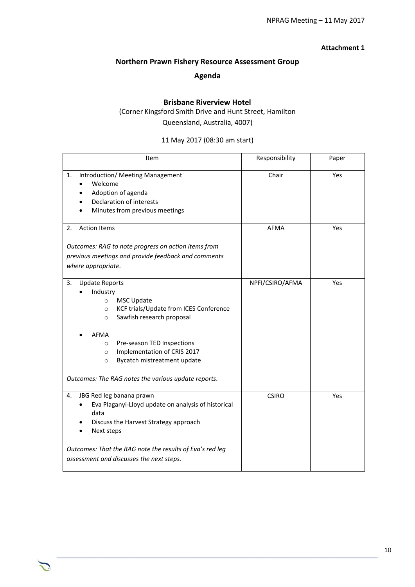#### **Attachment 1**

# **Northern Prawn Fishery Resource Assessment Group**

# **Agenda**

# **Brisbane Riverview Hotel**

(Corner Kingsford Smith Drive and Hunt Street, Hamilton Queensland, Australia, 4007)

11 May 2017 (08:30 am start)

| Item                                                                                                                                                                                                                                                                                                                                                             | Responsibility  | Paper |
|------------------------------------------------------------------------------------------------------------------------------------------------------------------------------------------------------------------------------------------------------------------------------------------------------------------------------------------------------------------|-----------------|-------|
| 1.<br>Introduction/ Meeting Management<br>Welcome<br>Adoption of agenda<br>Declaration of interests<br>Minutes from previous meetings                                                                                                                                                                                                                            | Chair           | Yes   |
| <b>Action Items</b><br>2.<br>Outcomes: RAG to note progress on action items from<br>previous meetings and provide feedback and comments<br>where appropriate.                                                                                                                                                                                                    | <b>AFMA</b>     | Yes   |
| 3.<br><b>Update Reports</b><br>Industry<br><b>MSC Update</b><br>$\circ$<br>KCF trials/Update from ICES Conference<br>$\circ$<br>Sawfish research proposal<br>$\circ$<br>AFMA<br>Pre-season TED Inspections<br>$\circ$<br>Implementation of CRIS 2017<br>$\circ$<br>Bycatch mistreatment update<br>$\circ$<br>Outcomes: The RAG notes the various update reports. | NPFI/CSIRO/AFMA | Yes   |
| JBG Red leg banana prawn<br>4.<br>Eva Plaganyi-Lloyd update on analysis of historical<br>data<br>Discuss the Harvest Strategy approach<br>Next steps<br>Outcomes: That the RAG note the results of Eva's red leg<br>assessment and discusses the next steps.                                                                                                     | <b>CSIRO</b>    | Yes   |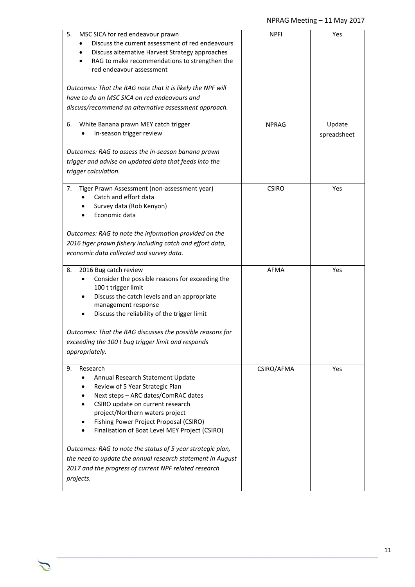| 5.<br>MSC SICA for red endeavour prawn<br>Discuss the current assessment of red endeavours<br>Discuss alternative Harvest Strategy approaches<br>RAG to make recommendations to strengthen the<br>red endeavour assessment<br>Outcomes: That the RAG note that it is likely the NPF will<br>have to do an MSC SICA on red endeavours and<br>discuss/recommend an alternative assessment approach.                                                                                                                   | <b>NPFI</b>  | Yes                   |
|---------------------------------------------------------------------------------------------------------------------------------------------------------------------------------------------------------------------------------------------------------------------------------------------------------------------------------------------------------------------------------------------------------------------------------------------------------------------------------------------------------------------|--------------|-----------------------|
| White Banana prawn MEY catch trigger<br>6.<br>In-season trigger review<br>Outcomes: RAG to assess the in-season banana prawn<br>trigger and advise on updated data that feeds into the<br>trigger calculation.                                                                                                                                                                                                                                                                                                      | <b>NPRAG</b> | Update<br>spreadsheet |
| Tiger Prawn Assessment (non-assessment year)<br>7.<br>Catch and effort data<br>Survey data (Rob Kenyon)<br>Economic data<br>Outcomes: RAG to note the information provided on the<br>2016 tiger prawn fishery including catch and effort data,<br>economic data collected and survey data.                                                                                                                                                                                                                          | <b>CSIRO</b> | Yes                   |
| 2016 Bug catch review<br>8.<br>Consider the possible reasons for exceeding the<br>100 t trigger limit<br>Discuss the catch levels and an appropriate<br>management response<br>Discuss the reliability of the trigger limit<br>Outcomes: That the RAG discusses the possible reasons for<br>exceeding the 100 t bug trigger limit and responds<br>appropriately.                                                                                                                                                    | <b>AFMA</b>  | Yes                   |
| Research<br>9.<br>Annual Research Statement Update<br>Review of 5 Year Strategic Plan<br>Next steps - ARC dates/ComRAC dates<br>CSIRO update on current research<br>$\bullet$<br>project/Northern waters project<br>Fishing Power Project Proposal (CSIRO)<br>٠<br>Finalisation of Boat Level MEY Project (CSIRO)<br>Outcomes: RAG to note the status of 5 year strategic plan,<br>the need to update the annual research statement in August<br>2017 and the progress of current NPF related research<br>projects. | CSIRO/AFMA   | Yes                   |

 $\triangle$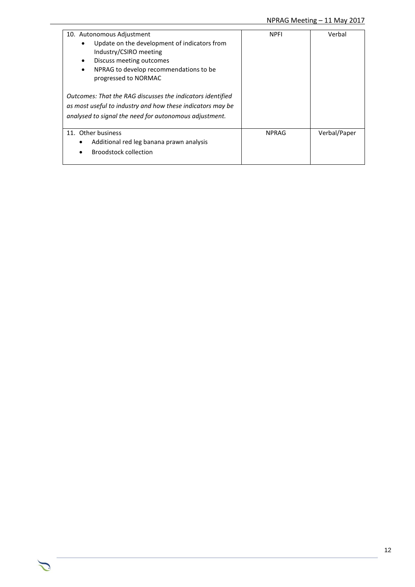| 10. Autonomous Adjustment<br>Update on the development of indicators from<br>Industry/CSIRO meeting<br>Discuss meeting outcomes<br>٠<br>NPRAG to develop recommendations to be<br>$\bullet$<br>progressed to NORMAC<br>Outcomes: That the RAG discusses the indicators identified<br>as most useful to industry and how these indicators may be<br>analysed to signal the need for autonomous adjustment. | <b>NPFI</b>  | Verbal       |
|-----------------------------------------------------------------------------------------------------------------------------------------------------------------------------------------------------------------------------------------------------------------------------------------------------------------------------------------------------------------------------------------------------------|--------------|--------------|
| 11. Other business<br>Additional red leg banana prawn analysis<br><b>Broodstock collection</b>                                                                                                                                                                                                                                                                                                            | <b>NPRAG</b> | Verbal/Paper |

 $\sum$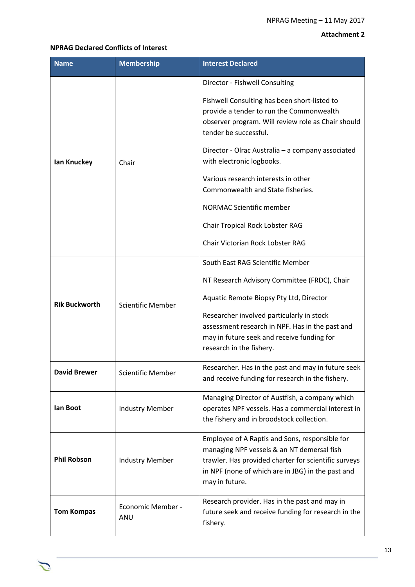# **Attachment 2**

### **NPRAG Declared Conflicts of Interest**

| <b>Name</b>          | <b>Membership</b>        | <b>Interest Declared</b>                                                                                                                                                                                                                                                                                                                                                                                                                                                          |
|----------------------|--------------------------|-----------------------------------------------------------------------------------------------------------------------------------------------------------------------------------------------------------------------------------------------------------------------------------------------------------------------------------------------------------------------------------------------------------------------------------------------------------------------------------|
| Ian Knuckey          | Chair                    | Director - Fishwell Consulting<br>Fishwell Consulting has been short-listed to<br>provide a tender to run the Commonwealth<br>observer program. Will review role as Chair should<br>tender be successful.<br>Director - Olrac Australia - a company associated<br>with electronic logbooks.<br>Various research interests in other<br>Commonwealth and State fisheries.<br><b>NORMAC Scientific member</b><br>Chair Tropical Rock Lobster RAG<br>Chair Victorian Rock Lobster RAG |
| <b>Rik Buckworth</b> | <b>Scientific Member</b> | South East RAG Scientific Member<br>NT Research Advisory Committee (FRDC), Chair<br>Aquatic Remote Biopsy Pty Ltd, Director<br>Researcher involved particularly in stock<br>assessment research in NPF. Has in the past and<br>may in future seek and receive funding for<br>research in the fishery.                                                                                                                                                                             |
| <b>David Brewer</b>  | <b>Scientific Member</b> | Researcher. Has in the past and may in future seek<br>and receive funding for research in the fishery.                                                                                                                                                                                                                                                                                                                                                                            |
| lan Boot             | <b>Industry Member</b>   | Managing Director of Austfish, a company which<br>operates NPF vessels. Has a commercial interest in<br>the fishery and in broodstock collection.                                                                                                                                                                                                                                                                                                                                 |
| <b>Phil Robson</b>   | <b>Industry Member</b>   | Employee of A Raptis and Sons, responsible for<br>managing NPF vessels & an NT demersal fish<br>trawler. Has provided charter for scientific surveys<br>in NPF (none of which are in JBG) in the past and<br>may in future.                                                                                                                                                                                                                                                       |
| <b>Tom Kompas</b>    | Economic Member -<br>ANU | Research provider. Has in the past and may in<br>future seek and receive funding for research in the<br>fishery.                                                                                                                                                                                                                                                                                                                                                                  |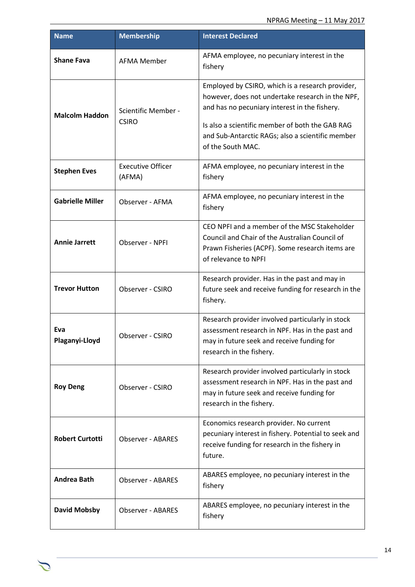| <b>Name</b>             | <b>Membership</b>                   | <b>Interest Declared</b>                                                                                                                                                                                                                                                          |
|-------------------------|-------------------------------------|-----------------------------------------------------------------------------------------------------------------------------------------------------------------------------------------------------------------------------------------------------------------------------------|
| <b>Shane Fava</b>       | <b>AFMA Member</b>                  | AFMA employee, no pecuniary interest in the<br>fishery                                                                                                                                                                                                                            |
| <b>Malcolm Haddon</b>   | Scientific Member -<br><b>CSIRO</b> | Employed by CSIRO, which is a research provider,<br>however, does not undertake research in the NPF,<br>and has no pecuniary interest in the fishery.<br>Is also a scientific member of both the GAB RAG<br>and Sub-Antarctic RAGs; also a scientific member<br>of the South MAC. |
| <b>Stephen Eves</b>     | <b>Executive Officer</b><br>(AFMA)  | AFMA employee, no pecuniary interest in the<br>fishery                                                                                                                                                                                                                            |
| <b>Gabrielle Miller</b> | Observer - AFMA                     | AFMA employee, no pecuniary interest in the<br>fishery                                                                                                                                                                                                                            |
| <b>Annie Jarrett</b>    | Observer - NPFI                     | CEO NPFI and a member of the MSC Stakeholder<br>Council and Chair of the Australian Council of<br>Prawn Fisheries (ACPF). Some research items are<br>of relevance to NPFI                                                                                                         |
| <b>Trevor Hutton</b>    | Observer - CSIRO                    | Research provider. Has in the past and may in<br>future seek and receive funding for research in the<br>fishery.                                                                                                                                                                  |
| Eva<br>Plaganyi-Lloyd   | Observer - CSIRO                    | Research provider involved particularly in stock<br>assessment research in NPF. Has in the past and<br>may in future seek and receive funding for<br>research in the fishery.                                                                                                     |
| <b>Roy Deng</b>         | Observer - CSIRO                    | Research provider involved particularly in stock<br>assessment research in NPF. Has in the past and<br>may in future seek and receive funding for<br>research in the fishery.                                                                                                     |
| <b>Robert Curtotti</b>  | <b>Observer - ABARES</b>            | Economics research provider. No current<br>pecuniary interest in fishery. Potential to seek and<br>receive funding for research in the fishery in<br>future.                                                                                                                      |
| <b>Andrea Bath</b>      | <b>Observer - ABARES</b>            | ABARES employee, no pecuniary interest in the<br>fishery                                                                                                                                                                                                                          |
| <b>David Mobsby</b>     | <b>Observer - ABARES</b>            | ABARES employee, no pecuniary interest in the<br>fishery                                                                                                                                                                                                                          |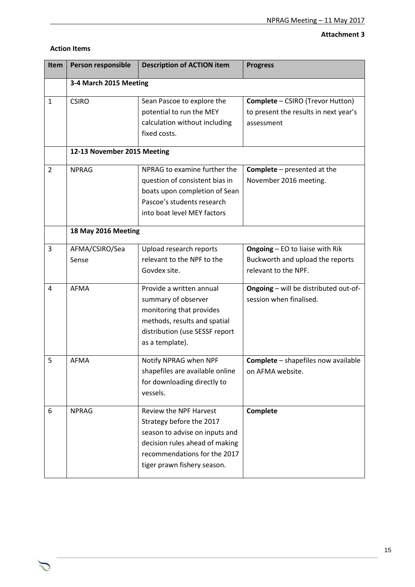# **Attachment 3**

| <b>Action Items</b> |  |
|---------------------|--|
|---------------------|--|

 $\mathcal{L}$ 

| Item           | Person responsible          | <b>Description of ACTION item</b>                                                                                                                                                     | <b>Progress</b>                                                                                |  |
|----------------|-----------------------------|---------------------------------------------------------------------------------------------------------------------------------------------------------------------------------------|------------------------------------------------------------------------------------------------|--|
|                | 3-4 March 2015 Meeting      |                                                                                                                                                                                       |                                                                                                |  |
| $\mathbf{1}$   | <b>CSIRO</b>                | Sean Pascoe to explore the<br>potential to run the MEY<br>calculation without including<br>fixed costs.                                                                               | <b>Complete - CSIRO (Trevor Hutton)</b><br>to present the results in next year's<br>assessment |  |
|                | 12-13 November 2015 Meeting |                                                                                                                                                                                       |                                                                                                |  |
| $\overline{2}$ | <b>NPRAG</b>                | NPRAG to examine further the<br>question of consistent bias in<br>boats upon completion of Sean<br>Pascoe's students research<br>into boat level MEY factors                          | <b>Complete</b> - presented at the<br>November 2016 meeting.                                   |  |
|                | 18 May 2016 Meeting         |                                                                                                                                                                                       |                                                                                                |  |
| 3              | AFMA/CSIRO/Sea<br>Sense     | Upload research reports<br>relevant to the NPF to the<br>Govdex site.                                                                                                                 | Ongoing - EO to liaise with Rik<br>Buckworth and upload the reports<br>relevant to the NPF.    |  |
| 4              | <b>AFMA</b>                 | Provide a written annual<br>summary of observer<br>monitoring that provides<br>methods, results and spatial<br>distribution (use SESSF report<br>as a template).                      | Ongoing - will be distributed out-of-<br>session when finalised.                               |  |
| 5              | <b>AFMA</b>                 | Notify NPRAG when NPF<br>shapefiles are available online<br>for downloading directly to<br>vessels.                                                                                   | <b>Complete</b> - shapefiles now available<br>on AFMA website.                                 |  |
| 6              | <b>NPRAG</b>                | Review the NPF Harvest<br>Strategy before the 2017<br>season to advise on inputs and<br>decision rules ahead of making<br>recommendations for the 2017<br>tiger prawn fishery season. | Complete                                                                                       |  |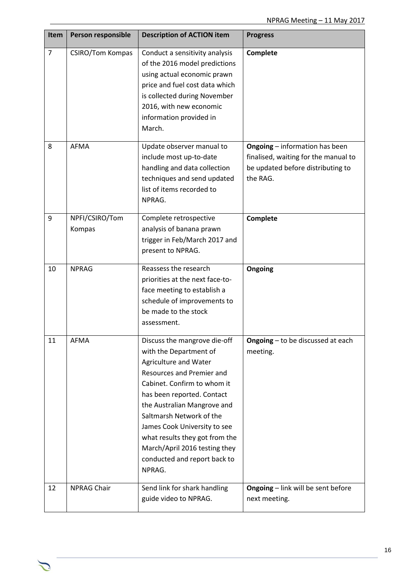| <b>Item</b>    | Person responsible       | <b>Description of ACTION item</b>                                                                                                                                                                                                                                                                                                                                                 | <b>Progress</b>                                                                                                                |
|----------------|--------------------------|-----------------------------------------------------------------------------------------------------------------------------------------------------------------------------------------------------------------------------------------------------------------------------------------------------------------------------------------------------------------------------------|--------------------------------------------------------------------------------------------------------------------------------|
| $\overline{7}$ | <b>CSIRO/Tom Kompas</b>  | Conduct a sensitivity analysis<br>of the 2016 model predictions<br>using actual economic prawn<br>price and fuel cost data which<br>is collected during November<br>2016, with new economic<br>information provided in<br>March.                                                                                                                                                  | <b>Complete</b>                                                                                                                |
| 8              | <b>AFMA</b>              | Update observer manual to<br>include most up-to-date<br>handling and data collection<br>techniques and send updated<br>list of items recorded to<br>NPRAG.                                                                                                                                                                                                                        | <b>Ongoing</b> - information has been<br>finalised, waiting for the manual to<br>be updated before distributing to<br>the RAG. |
| 9              | NPFI/CSIRO/Tom<br>Kompas | Complete retrospective<br>analysis of banana prawn<br>trigger in Feb/March 2017 and<br>present to NPRAG.                                                                                                                                                                                                                                                                          | Complete                                                                                                                       |
| 10             | <b>NPRAG</b>             | Reassess the research<br>priorities at the next face-to-<br>face meeting to establish a<br>schedule of improvements to<br>be made to the stock<br>assessment.                                                                                                                                                                                                                     | Ongoing                                                                                                                        |
| 11             | <b>AFMA</b>              | Discuss the mangrove die-off<br>with the Department of<br>Agriculture and Water<br>Resources and Premier and<br>Cabinet. Confirm to whom it<br>has been reported. Contact<br>the Australian Mangrove and<br>Saltmarsh Network of the<br>James Cook University to see<br>what results they got from the<br>March/April 2016 testing they<br>conducted and report back to<br>NPRAG. | Ongoing - to be discussed at each<br>meeting.                                                                                  |
| 12             | <b>NPRAG Chair</b>       | Send link for shark handling<br>guide video to NPRAG.                                                                                                                                                                                                                                                                                                                             | Ongoing - link will be sent before<br>next meeting.                                                                            |

 $\sum$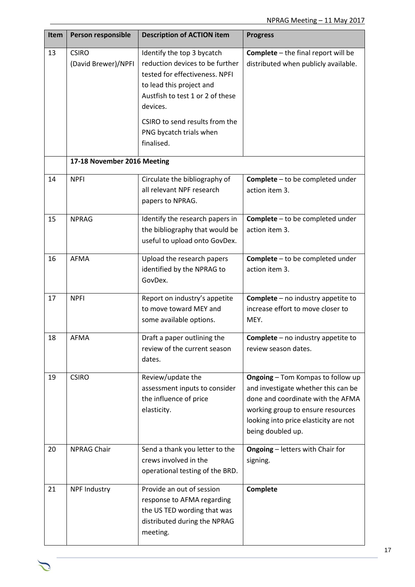| Item | Person responsible                  | <b>Description of ACTION item</b>                                                                                                                                                                                                                      | <b>Progress</b>                                                                                                                                                                                                         |
|------|-------------------------------------|--------------------------------------------------------------------------------------------------------------------------------------------------------------------------------------------------------------------------------------------------------|-------------------------------------------------------------------------------------------------------------------------------------------------------------------------------------------------------------------------|
| 13   | <b>CSIRO</b><br>(David Brewer)/NPFI | Identify the top 3 bycatch<br>reduction devices to be further<br>tested for effectiveness. NPFI<br>to lead this project and<br>Austfish to test 1 or 2 of these<br>devices.<br>CSIRO to send results from the<br>PNG bycatch trials when<br>finalised. | <b>Complete</b> - the final report will be<br>distributed when publicly available.                                                                                                                                      |
|      | 17-18 November 2016 Meeting         |                                                                                                                                                                                                                                                        |                                                                                                                                                                                                                         |
| 14   | <b>NPFI</b>                         | Circulate the bibliography of<br>all relevant NPF research<br>papers to NPRAG.                                                                                                                                                                         | <b>Complete</b> - to be completed under<br>action item 3.                                                                                                                                                               |
| 15   | <b>NPRAG</b>                        | Identify the research papers in<br>the bibliography that would be<br>useful to upload onto GovDex.                                                                                                                                                     | Complete - to be completed under<br>action item 3.                                                                                                                                                                      |
| 16   | <b>AFMA</b>                         | Upload the research papers<br>identified by the NPRAG to<br>GovDex.                                                                                                                                                                                    | <b>Complete</b> - to be completed under<br>action item 3.                                                                                                                                                               |
| 17   | <b>NPFI</b>                         | Report on industry's appetite<br>to move toward MEY and<br>some available options.                                                                                                                                                                     | <b>Complete</b> - no industry appetite to<br>increase effort to move closer to<br>MEY.                                                                                                                                  |
| 18   | <b>AFMA</b>                         | Draft a paper outlining the<br>review of the current season<br>dates.                                                                                                                                                                                  | <b>Complete</b> – no industry appetite to<br>review season dates.                                                                                                                                                       |
| 19   | <b>CSIRO</b>                        | Review/update the<br>assessment inputs to consider<br>the influence of price<br>elasticity.                                                                                                                                                            | <b>Ongoing - Tom Kompas to follow up</b><br>and investigate whether this can be<br>done and coordinate with the AFMA<br>working group to ensure resources<br>looking into price elasticity are not<br>being doubled up. |
| 20   | <b>NPRAG Chair</b>                  | Send a thank you letter to the<br>crews involved in the<br>operational testing of the BRD.                                                                                                                                                             | <b>Ongoing</b> - letters with Chair for<br>signing.                                                                                                                                                                     |
| 21   | <b>NPF Industry</b>                 | Provide an out of session<br>response to AFMA regarding<br>the US TED wording that was<br>distributed during the NPRAG<br>meeting.                                                                                                                     | Complete                                                                                                                                                                                                                |